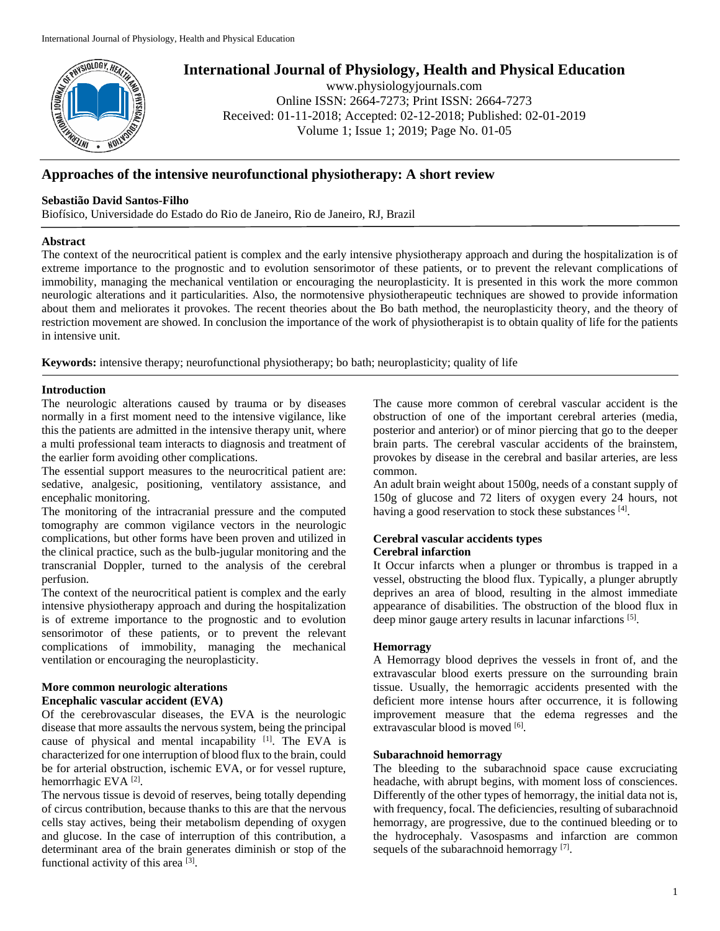

# **International Journal of Physiology, Health and Physical Education**

www.physiologyjournals.com Online ISSN: 2664-7273; Print ISSN: 2664-7273 Received: 01-11-2018; Accepted: 02-12-2018; Published: 02-01-2019 Volume 1; Issue 1; 2019; Page No. 01-05

## **Approaches of the intensive neurofunctional physiotherapy: A short review**

## **Sebastião David Santos-Filho**

Biofísico, Universidade do Estado do Rio de Janeiro, Rio de Janeiro, RJ, Brazil

## **Abstract**

The context of the neurocritical patient is complex and the early intensive physiotherapy approach and during the hospitalization is of extreme importance to the prognostic and to evolution sensorimotor of these patients, or to prevent the relevant complications of immobility, managing the mechanical ventilation or encouraging the neuroplasticity. It is presented in this work the more common neurologic alterations and it particularities. Also, the normotensive physiotherapeutic techniques are showed to provide information about them and meliorates it provokes. The recent theories about the Bo bath method, the neuroplasticity theory, and the theory of restriction movement are showed. In conclusion the importance of the work of physiotherapist is to obtain quality of life for the patients in intensive unit.

**Keywords:** intensive therapy; neurofunctional physiotherapy; bo bath; neuroplasticity; quality of life

## **Introduction**

The neurologic alterations caused by trauma or by diseases normally in a first moment need to the intensive vigilance, like this the patients are admitted in the intensive therapy unit, where a multi professional team interacts to diagnosis and treatment of the earlier form avoiding other complications.

The essential support measures to the neurocritical patient are: sedative, analgesic, positioning, ventilatory assistance, and encephalic monitoring.

The monitoring of the intracranial pressure and the computed tomography are common vigilance vectors in the neurologic complications, but other forms have been proven and utilized in the clinical practice, such as the bulb-jugular monitoring and the transcranial Doppler, turned to the analysis of the cerebral perfusion.

The context of the neurocritical patient is complex and the early intensive physiotherapy approach and during the hospitalization is of extreme importance to the prognostic and to evolution sensorimotor of these patients, or to prevent the relevant complications of immobility, managing the mechanical ventilation or encouraging the neuroplasticity.

## **More common neurologic alterations Encephalic vascular accident (EVA)**

Of the cerebrovascular diseases, the EVA is the neurologic disease that more assaults the nervous system, being the principal cause of physical and mental incapability [1]. The EVA is characterized for one interruption of blood flux to the brain, could be for arterial obstruction, ischemic EVA, or for vessel rupture, hemorrhagic EVA<sup>[2]</sup>.

The nervous tissue is devoid of reserves, being totally depending of circus contribution, because thanks to this are that the nervous cells stay actives, being their metabolism depending of oxygen and glucose. In the case of interruption of this contribution, a determinant area of the brain generates diminish or stop of the functional activity of this area [3].

The cause more common of cerebral vascular accident is the obstruction of one of the important cerebral arteries (media, posterior and anterior) or of minor piercing that go to the deeper brain parts. The cerebral vascular accidents of the brainstem, provokes by disease in the cerebral and basilar arteries, are less common.

An adult brain weight about 1500g, needs of a constant supply of 150g of glucose and 72 liters of oxygen every 24 hours, not having a good reservation to stock these substances [4].

#### **Cerebral vascular accidents types Cerebral infarction**

It Occur infarcts when a plunger or thrombus is trapped in a vessel, obstructing the blood flux. Typically, a plunger abruptly deprives an area of blood, resulting in the almost immediate appearance of disabilities. The obstruction of the blood flux in deep minor gauge artery results in lacunar infarctions [5].

## **Hemorragy**

A Hemorragy blood deprives the vessels in front of, and the extravascular blood exerts pressure on the surrounding brain tissue. Usually, the hemorragic accidents presented with the deficient more intense hours after occurrence, it is following improvement measure that the edema regresses and the extravascular blood is moved [6].

## **Subarachnoid hemorragy**

The bleeding to the subarachnoid space cause excruciating headache, with abrupt begins, with moment loss of consciences. Differently of the other types of hemorragy, the initial data not is, with frequency, focal. The deficiencies, resulting of subarachnoid hemorragy, are progressive, due to the continued bleeding or to the hydrocephaly. Vasospasms and infarction are common sequels of the subarachnoid hemorragy<sup>[7]</sup>.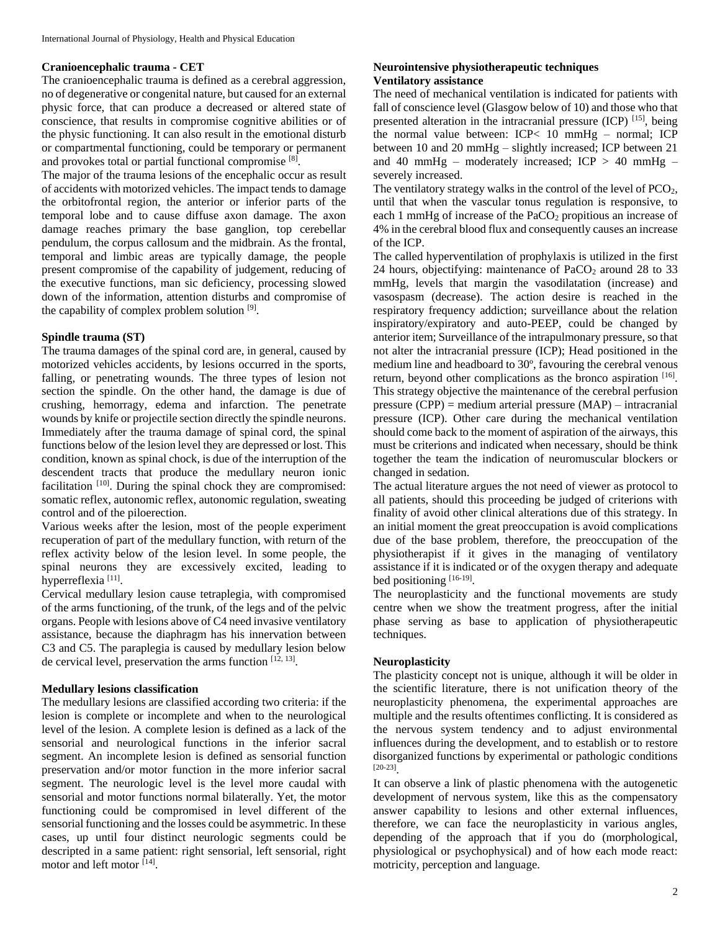#### **Cranioencephalic trauma - CET**

The cranioencephalic trauma is defined as a cerebral aggression, no of degenerative or congenital nature, but caused for an external physic force, that can produce a decreased or altered state of conscience, that results in compromise cognitive abilities or of the physic functioning. It can also result in the emotional disturb or compartmental functioning, could be temporary or permanent and provokes total or partial functional compromise<sup>[8]</sup>.

The major of the trauma lesions of the encephalic occur as result of accidents with motorized vehicles. The impact tends to damage the orbitofrontal region, the anterior or inferior parts of the temporal lobe and to cause diffuse axon damage. The axon damage reaches primary the base ganglion, top cerebellar pendulum, the corpus callosum and the midbrain. As the frontal, temporal and limbic areas are typically damage, the people present compromise of the capability of judgement, reducing of the executive functions, man sic deficiency, processing slowed down of the information, attention disturbs and compromise of the capability of complex problem solution  $[9]$ .

#### **Spindle trauma (ST)**

The trauma damages of the spinal cord are, in general, caused by motorized vehicles accidents, by lesions occurred in the sports, falling, or penetrating wounds. The three types of lesion not section the spindle. On the other hand, the damage is due of crushing, hemorragy, edema and infarction. The penetrate wounds by knife or projectile section directly the spindle neurons. Immediately after the trauma damage of spinal cord, the spinal functions below of the lesion level they are depressed or lost. This condition, known as spinal chock, is due of the interruption of the descendent tracts that produce the medullary neuron ionic facilitation <sup>[10]</sup>. During the spinal chock they are compromised: somatic reflex, autonomic reflex, autonomic regulation, sweating control and of the piloerection.

Various weeks after the lesion, most of the people experiment recuperation of part of the medullary function, with return of the reflex activity below of the lesion level. In some people, the spinal neurons they are excessively excited, leading to hyperreflexia<sup>[11]</sup>.

Cervical medullary lesion cause tetraplegia, with compromised of the arms functioning, of the trunk, of the legs and of the pelvic organs. People with lesions above of C4 need invasive ventilatory assistance, because the diaphragm has his innervation between C3 and C5. The paraplegia is caused by medullary lesion below de cervical level, preservation the arms function [12, 13].

## **Medullary lesions classification**

The medullary lesions are classified according two criteria: if the lesion is complete or incomplete and when to the neurological level of the lesion. A complete lesion is defined as a lack of the sensorial and neurological functions in the inferior sacral segment. An incomplete lesion is defined as sensorial function preservation and/or motor function in the more inferior sacral segment. The neurologic level is the level more caudal with sensorial and motor functions normal bilaterally. Yet, the motor functioning could be compromised in level different of the sensorial functioning and the losses could be asymmetric. In these cases, up until four distinct neurologic segments could be descripted in a same patient: right sensorial, left sensorial, right motor and left motor [14] .

#### **Neurointensive physiotherapeutic techniques Ventilatory assistance**

The need of mechanical ventilation is indicated for patients with fall of conscience level (Glasgow below of 10) and those who that presented alteration in the intracranial pressure (ICP) [15], being the normal value between: ICP< 10 mmHg – normal; ICP between 10 and 20 mmHg – slightly increased; ICP between 21 and 40 mmHg – moderately increased; ICP  $> 40$  mmHg – severely increased.

The ventilatory strategy walks in the control of the level of PCO<sub>2</sub>, until that when the vascular tonus regulation is responsive, to each 1 mmHg of increase of the  $PaCO<sub>2</sub>$  propitious an increase of 4% in the cerebral blood flux and consequently causes an increase of the ICP.

The called hyperventilation of prophylaxis is utilized in the first 24 hours, objectifying: maintenance of  $PaCO<sub>2</sub>$  around 28 to 33 mmHg, levels that margin the vasodilatation (increase) and vasospasm (decrease). The action desire is reached in the respiratory frequency addiction; surveillance about the relation inspiratory/expiratory and auto-PEEP, could be changed by anterior item; Surveillance of the intrapulmonary pressure, so that not alter the intracranial pressure (ICP); Head positioned in the medium line and headboard to 30º, favouring the cerebral venous return, beyond other complications as the bronco aspiration [16]. This strategy objective the maintenance of the cerebral perfusion pressure (CPP) = medium arterial pressure (MAP) – intracranial pressure (ICP). Other care during the mechanical ventilation should come back to the moment of aspiration of the airways, this must be criterions and indicated when necessary, should be think together the team the indication of neuromuscular blockers or changed in sedation.

The actual literature argues the not need of viewer as protocol to all patients, should this proceeding be judged of criterions with finality of avoid other clinical alterations due of this strategy. In an initial moment the great preoccupation is avoid complications due of the base problem, therefore, the preoccupation of the physiotherapist if it gives in the managing of ventilatory assistance if it is indicated or of the oxygen therapy and adequate bed positioning [16-19].

The neuroplasticity and the functional movements are study centre when we show the treatment progress, after the initial phase serving as base to application of physiotherapeutic techniques.

#### **Neuroplasticity**

The plasticity concept not is unique, although it will be older in the scientific literature, there is not unification theory of the neuroplasticity phenomena, the experimental approaches are multiple and the results oftentimes conflicting. It is considered as the nervous system tendency and to adjust environmental influences during the development, and to establish or to restore disorganized functions by experimental or pathologic conditions [20-23] .

It can observe a link of plastic phenomena with the autogenetic development of nervous system, like this as the compensatory answer capability to lesions and other external influences, therefore, we can face the neuroplasticity in various angles, depending of the approach that if you do (morphological, physiological or psychophysical) and of how each mode react: motricity, perception and language.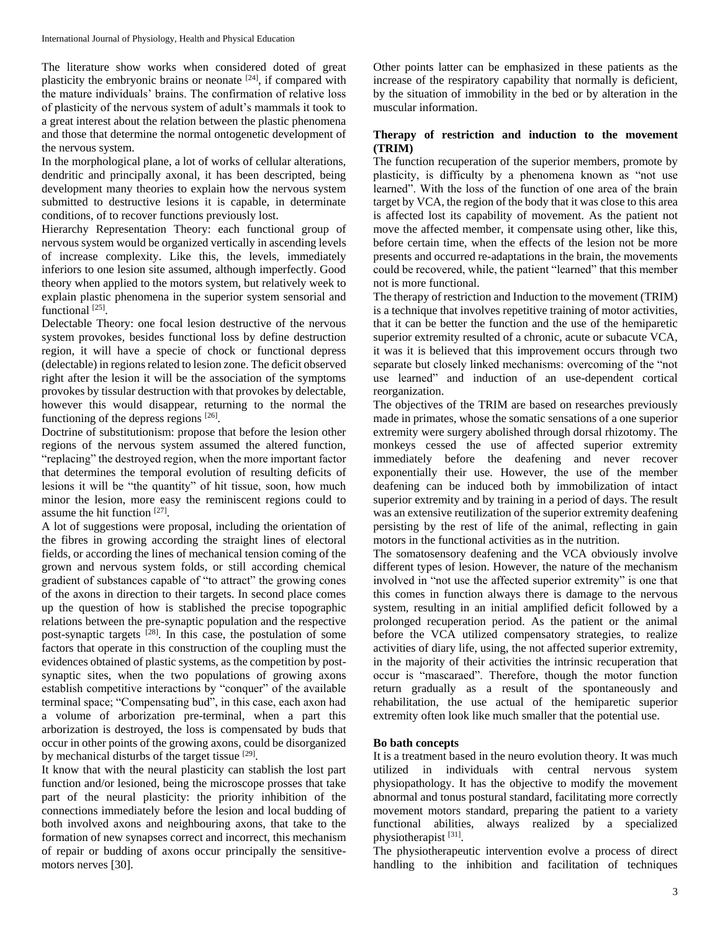The literature show works when considered doted of great plasticity the embryonic brains or neonate [24], if compared with the mature individuals' brains. The confirmation of relative loss of plasticity of the nervous system of adult's mammals it took to a great interest about the relation between the plastic phenomena and those that determine the normal ontogenetic development of the nervous system.

In the morphological plane, a lot of works of cellular alterations, dendritic and principally axonal, it has been descripted, being development many theories to explain how the nervous system submitted to destructive lesions it is capable, in determinate conditions, of to recover functions previously lost.

Hierarchy Representation Theory: each functional group of nervous system would be organized vertically in ascending levels of increase complexity. Like this, the levels, immediately inferiors to one lesion site assumed, although imperfectly. Good theory when applied to the motors system, but relatively week to explain plastic phenomena in the superior system sensorial and functional<sup>[25]</sup>.

Delectable Theory: one focal lesion destructive of the nervous system provokes, besides functional loss by define destruction region, it will have a specie of chock or functional depress (delectable) in regions related to lesion zone. The deficit observed right after the lesion it will be the association of the symptoms provokes by tissular destruction with that provokes by delectable, however this would disappear, returning to the normal the functioning of the depress regions  $[26]$ .

Doctrine of substitutionism: propose that before the lesion other regions of the nervous system assumed the altered function, "replacing" the destroyed region, when the more important factor that determines the temporal evolution of resulting deficits of lesions it will be "the quantity" of hit tissue, soon, how much minor the lesion, more easy the reminiscent regions could to assume the hit function [27].

A lot of suggestions were proposal, including the orientation of the fibres in growing according the straight lines of electoral fields, or according the lines of mechanical tension coming of the grown and nervous system folds, or still according chemical gradient of substances capable of "to attract" the growing cones of the axons in direction to their targets. In second place comes up the question of how is stablished the precise topographic relations between the pre-synaptic population and the respective post-synaptic targets  $^{[28]}$ . In this case, the postulation of some factors that operate in this construction of the coupling must the evidences obtained of plastic systems, as the competition by postsynaptic sites, when the two populations of growing axons establish competitive interactions by "conquer" of the available terminal space; "Compensating bud", in this case, each axon had a volume of arborization pre-terminal, when a part this arborization is destroyed, the loss is compensated by buds that occur in other points of the growing axons, could be disorganized by mechanical disturbs of the target tissue [29].

It know that with the neural plasticity can stablish the lost part function and/or lesioned, being the microscope prosses that take part of the neural plasticity: the priority inhibition of the connections immediately before the lesion and local budding of both involved axons and neighbouring axons, that take to the formation of new synapses correct and incorrect, this mechanism of repair or budding of axons occur principally the sensitivemotors nerves [30].

Other points latter can be emphasized in these patients as the increase of the respiratory capability that normally is deficient, by the situation of immobility in the bed or by alteration in the muscular information.

## **Therapy of restriction and induction to the movement (TRIM)**

The function recuperation of the superior members, promote by plasticity, is difficulty by a phenomena known as "not use learned". With the loss of the function of one area of the brain target by VCA, the region of the body that it was close to this area is affected lost its capability of movement. As the patient not move the affected member, it compensate using other, like this, before certain time, when the effects of the lesion not be more presents and occurred re-adaptations in the brain, the movements could be recovered, while, the patient "learned" that this member not is more functional.

The therapy of restriction and Induction to the movement (TRIM) is a technique that involves repetitive training of motor activities, that it can be better the function and the use of the hemiparetic superior extremity resulted of a chronic, acute or subacute VCA, it was it is believed that this improvement occurs through two separate but closely linked mechanisms: overcoming of the "not use learned" and induction of an use-dependent cortical reorganization.

The objectives of the TRIM are based on researches previously made in primates, whose the somatic sensations of a one superior extremity were surgery abolished through dorsal rhizotomy. The monkeys cessed the use of affected superior extremity immediately before the deafening and never recover exponentially their use. However, the use of the member deafening can be induced both by immobilization of intact superior extremity and by training in a period of days. The result was an extensive reutilization of the superior extremity deafening persisting by the rest of life of the animal, reflecting in gain motors in the functional activities as in the nutrition.

The somatosensory deafening and the VCA obviously involve different types of lesion. However, the nature of the mechanism involved in "not use the affected superior extremity" is one that this comes in function always there is damage to the nervous system, resulting in an initial amplified deficit followed by a prolonged recuperation period. As the patient or the animal before the VCA utilized compensatory strategies, to realize activities of diary life, using, the not affected superior extremity, in the majority of their activities the intrinsic recuperation that occur is "mascaraed". Therefore, though the motor function return gradually as a result of the spontaneously and rehabilitation, the use actual of the hemiparetic superior extremity often look like much smaller that the potential use.

## **Bo bath concepts**

It is a treatment based in the neuro evolution theory. It was much utilized in individuals with central nervous system physiopathology. It has the objective to modify the movement abnormal and tonus postural standard, facilitating more correctly movement motors standard, preparing the patient to a variety functional abilities, always realized by a specialized physiotherapist<sup>[31]</sup>.

The physiotherapeutic intervention evolve a process of direct handling to the inhibition and facilitation of techniques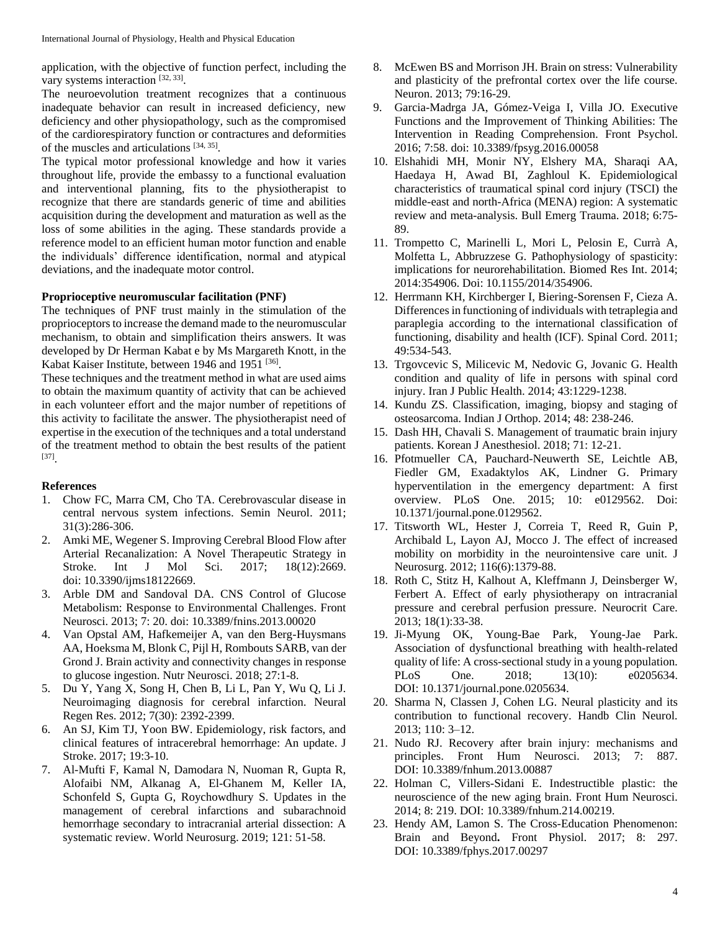application, with the objective of function perfect, including the vary systems interaction [32, 33].

The neuroevolution treatment recognizes that a continuous inadequate behavior can result in increased deficiency, new deficiency and other physiopathology, such as the compromised of the cardiorespiratory function or contractures and deformities of the muscles and articulations  $[34, 35]$ .

The typical motor professional knowledge and how it varies throughout life, provide the embassy to a functional evaluation and interventional planning, fits to the physiotherapist to recognize that there are standards generic of time and abilities acquisition during the development and maturation as well as the loss of some abilities in the aging. These standards provide a reference model to an efficient human motor function and enable the individuals' difference identification, normal and atypical deviations, and the inadequate motor control.

#### **Proprioceptive neuromuscular facilitation (PNF)**

The techniques of PNF trust mainly in the stimulation of the proprioceptors to increase the demand made to the neuromuscular mechanism, to obtain and simplification theirs answers. It was developed by Dr Herman Kabat e by Ms Margareth Knott, in the Kabat Kaiser Institute, between 1946 and 1951 [36].

These techniques and the treatment method in what are used aims to obtain the maximum quantity of activity that can be achieved in each volunteer effort and the major number of repetitions of this activity to facilitate the answer. The physiotherapist need of expertise in the execution of the techniques and a total understand of the treatment method to obtain the best results of the patient [37] .

#### **References**

- 1. Chow FC, Marra CM, Cho TA. Cerebrovascular disease in central nervous system infections. Semin Neurol. 2011; 31(3):286-306.
- 2. Amki ME, Wegener S. Improving Cerebral Blood Flow after Arterial Recanalization: A Novel Therapeutic Strategy in Stroke. Int J Mol Sci. 2017; 18(12):2669. doi: 10.3390/ijms18122669.
- 3. Arble DM and Sandoval DA. CNS Control of Glucose Metabolism: Response to Environmental Challenges. Front Neurosci. 2013; 7: 20. doi: 10.3389/fnins.2013.00020
- 4. Van Opstal AM, Hafkemeijer A, van den Berg-Huysmans AA, Hoeksma M, Blonk C, Pijl H, Rombouts SARB, van der Grond J. Brain activity and connectivity changes in response to glucose ingestion. Nutr Neurosci. 2018; 27:1-8.
- 5. Du Y, Yang X, Song H, Chen B, Li L, Pan Y, Wu Q, Li J. Neuroimaging diagnosis for cerebral infarction. Neural Regen Res. 2012; 7(30): 2392-2399.
- 6. An SJ, Kim TJ, Yoon BW. Epidemiology, risk factors, and clinical features of intracerebral hemorrhage: An update. J Stroke. 2017; 19:3-10.
- 7. Al-Mufti F, Kamal N, Damodara N, Nuoman R, Gupta R, Alofaibi NM, Alkanag A, El-Ghanem M, Keller IA, Schonfeld S, Gupta G, Roychowdhury S. Updates in the management of cerebral infarctions and subarachnoid hemorrhage secondary to intracranial arterial dissection: A systematic review. World Neurosurg. 2019; 121: 51-58.
- 8. McEwen BS and Morrison JH. Brain on stress: Vulnerability and plasticity of the prefrontal cortex over the life course. Neuron. 2013; 79:16-29.
- 9. Garcia-Madrga JA, Gómez-Veiga I, Villa JO. Executive Functions and the Improvement of Thinking Abilities: The Intervention in Reading Comprehension. Front Psychol. 2016; 7:58. doi: 10.3389/fpsyg.2016.00058
- 10. Elshahidi MH, Monir NY, Elshery MA, Sharaqi AA, Haedaya H, Awad BI, Zaghloul K. Epidemiological characteristics of traumatical spinal cord injury (TSCI) the middle-east and north-Africa (MENA) region: A systematic review and meta-analysis. Bull Emerg Trauma. 2018; 6:75- 89.
- 11. Trompetto C, Marinelli L, Mori L, Pelosin E, Currà A, Molfetta L, Abbruzzese G. Pathophysiology of spasticity: implications for neurorehabilitation. Biomed Res Int. 2014; 2014:354906. Doi: 10.1155/2014/354906.
- 12. Herrmann KH, Kirchberger I, Biering-Sorensen F, Cieza A. Differences in functioning of individuals with tetraplegia and paraplegia according to the international classification of functioning, disability and health (ICF). Spinal Cord. 2011; 49:534-543.
- 13. Trgovcevic S, Milicevic M, Nedovic G, Jovanic G. Health condition and quality of life in persons with spinal cord injury. Iran J Public Health. 2014; 43:1229-1238.
- 14. Kundu ZS. Classification, imaging, biopsy and staging of osteosarcoma. Indian J Orthop. 2014; 48: 238-246.
- 15. Dash HH, Chavali S. Management of traumatic brain injury patients. Korean J Anesthesiol. 2018; 71: 12-21.
- 16. Pfotmueller CA, Pauchard-Neuwerth SE, Leichtle AB, Fiedler GM, Exadaktylos AK, Lindner G. Primary hyperventilation in the emergency department: A first overview. PLoS One. 2015; 10: e0129562. Doi: 10.1371/journal.pone.0129562.
- 17. Titsworth WL, Hester J, Correia T, Reed R, Guin P, Archibald L, Layon AJ, Mocco J. The effect of increased mobility on morbidity in the neurointensive care unit. J Neurosurg. 2012; 116(6):1379-88.
- 18. Roth C, Stitz H, Kalhout A, Kleffmann J, Deinsberger W, Ferbert A. Effect of early physiotherapy on intracranial pressure and cerebral perfusion pressure. Neurocrit Care. 2013; 18(1):33-38.
- 19. Ji-Myung OK, Young-Bae Park, Young-Jae Park. Association of dysfunctional breathing with health-related quality of life: A cross-sectional study in a young population. PLoS One. 2018; 13(10): e0205634. DOI: 10.1371/journal.pone.0205634.
- 20. Sharma N, Classen J, Cohen LG. Neural plasticity and its contribution to functional recovery. Handb Clin Neurol. 2013; 110: 3–12.
- 21. Nudo RJ. Recovery after brain injury: mechanisms and principles. Front Hum Neurosci. 2013; 7: 887. DOI: 10.3389/fnhum.2013.00887
- 22. Holman C, Villers-Sidani E. Indestructible plastic: the neuroscience of the new aging brain. Front Hum Neurosci. 2014; 8: 219. DOI: 10.3389/fnhum.214.00219.
- 23. Hendy AM, Lamon S. The Cross-Education Phenomenon: Brain and Beyond**.** Front Physiol. 2017; 8: 297. DOI: 10.3389/fphys.2017.00297